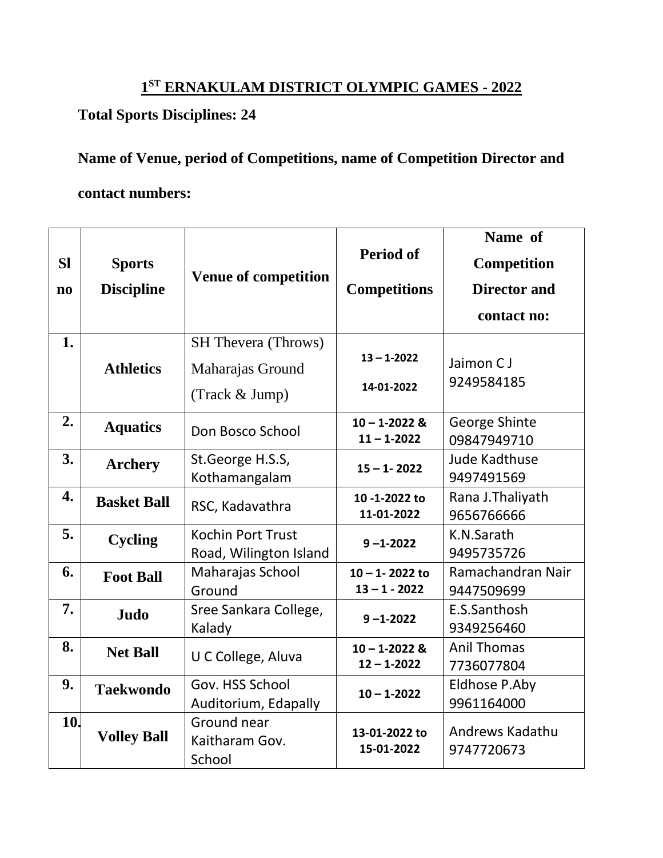## **1 ST ERNAKULAM DISTRICT OLYMPIC GAMES - 2022**

## **Total Sports Disciplines: 24**

## **Name of Venue, period of Competitions, name of Competition Director and contact numbers:**

|                        |                                    |                             |                             | Name of              |
|------------------------|------------------------------------|-----------------------------|-----------------------------|----------------------|
| <b>SI</b>              | <b>Sports</b><br><b>Discipline</b> | <b>Venue of competition</b> | <b>Period of</b>            | Competition          |
| $\mathbf{n}\mathbf{o}$ |                                    |                             | <b>Competitions</b>         | <b>Director and</b>  |
|                        |                                    |                             |                             | contact no:          |
| 1.                     |                                    | <b>SH Thevera (Throws)</b>  |                             |                      |
|                        | <b>Athletics</b>                   | Maharajas Ground            | $13 - 1 - 2022$             | Jaimon C J           |
|                        |                                    | (Track & Jump)              | 14-01-2022                  | 9249584185           |
| 2.                     | <b>Aquatics</b>                    | Don Bosco School            | $10 - 1 - 2022$ &           | George Shinte        |
|                        |                                    |                             | $11 - 1 - 2022$             | 09847949710          |
| 3.                     | <b>Archery</b>                     | St.George H.S.S,            | $15 - 1 - 2022$             | <b>Jude Kadthuse</b> |
|                        |                                    | Kothamangalam               |                             | 9497491569           |
| 4.                     | <b>Basket Ball</b>                 | RSC, Kadavathra             | 10-1-2022 to                | Rana J. Thaliyath    |
|                        |                                    |                             | 11-01-2022                  | 9656766666           |
| 5.                     | <b>Cycling</b>                     | Kochin Port Trust           | $9 - 1 - 2022$              | K.N.Sarath           |
|                        |                                    | Road, Wilington Island      |                             | 9495735726           |
| 6.                     | <b>Foot Ball</b>                   | Maharajas School            | $10 - 1 - 2022$ to          | Ramachandran Nair    |
|                        |                                    | Ground                      | $13 - 1 - 2022$             | 9447509699           |
| 7.                     | Judo                               | Sree Sankara College,       | $9 - 1 - 2022$              | E.S.Santhosh         |
|                        |                                    | Kalady                      |                             | 9349256460           |
| 8.                     | <b>Net Ball</b>                    | U C College, Aluva          | $10 - 1 - 2022$ &           | <b>Anil Thomas</b>   |
|                        |                                    |                             | $12 - 1 - 2022$             | 7736077804           |
| 9.                     | <b>Taekwondo</b>                   | Gov. HSS School             | $10 - 1 - 2022$             | Eldhose P.Aby        |
|                        |                                    | Auditorium, Edapally        |                             | 9961164000           |
| 10.                    |                                    | Ground near                 |                             | Andrews Kadathu      |
|                        | <b>Volley Ball</b>                 | Kaitharam Gov.              | 13-01-2022 to<br>15-01-2022 |                      |
|                        |                                    | School                      |                             | 9747720673           |